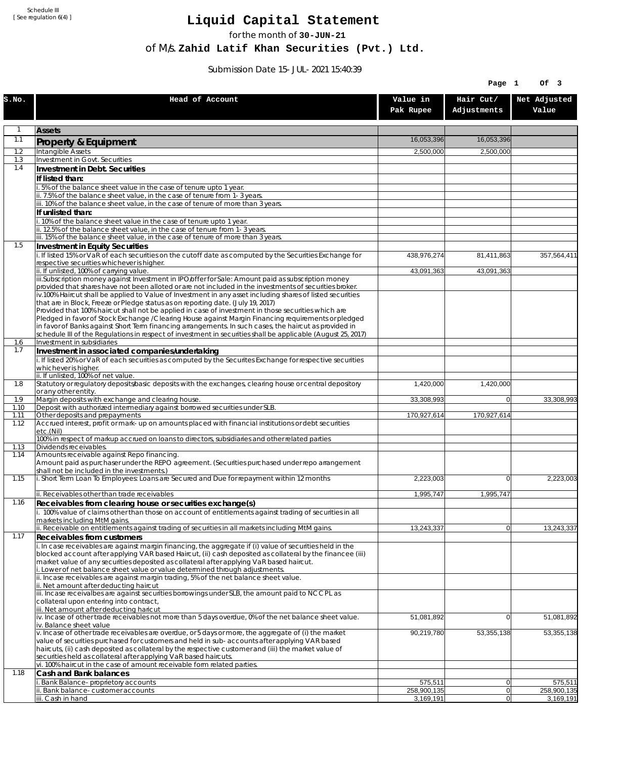Schedule III [ See regulation 6(4) ]

## **Liquid Capital Statement**

for the month of **30-JUN-21**

of M/s. **Zahid Latif Khan Securities (Pvt.) Ltd.**

Submission Date 15-JUL-2021 15:40:39

|              |                                                                                                                                                                                                                                                                                                                                                                                                                                                                                                                                                                                                                                                                                                                                                                                                                                                          |                        | Page 1                   | Of 3                   |
|--------------|----------------------------------------------------------------------------------------------------------------------------------------------------------------------------------------------------------------------------------------------------------------------------------------------------------------------------------------------------------------------------------------------------------------------------------------------------------------------------------------------------------------------------------------------------------------------------------------------------------------------------------------------------------------------------------------------------------------------------------------------------------------------------------------------------------------------------------------------------------|------------------------|--------------------------|------------------------|
| S.NO.        | Head of Account                                                                                                                                                                                                                                                                                                                                                                                                                                                                                                                                                                                                                                                                                                                                                                                                                                          | Value in<br>Pak Rupee  | Hair Cut/<br>Adjustments | Net Adjusted<br>Value  |
|              | <b>Assets</b>                                                                                                                                                                                                                                                                                                                                                                                                                                                                                                                                                                                                                                                                                                                                                                                                                                            |                        |                          |                        |
| 1.1          | Property & Equipment                                                                                                                                                                                                                                                                                                                                                                                                                                                                                                                                                                                                                                                                                                                                                                                                                                     | 16,053,396             | 16,053,396               |                        |
| 1.2          | Intangible Assets                                                                                                                                                                                                                                                                                                                                                                                                                                                                                                                                                                                                                                                                                                                                                                                                                                        | 2,500,000              | 2,500,000                |                        |
| 1.3<br>1.4   | Investment in Govt. Securities<br>Investment in Debt. Securities                                                                                                                                                                                                                                                                                                                                                                                                                                                                                                                                                                                                                                                                                                                                                                                         |                        |                          |                        |
|              | If listed than:                                                                                                                                                                                                                                                                                                                                                                                                                                                                                                                                                                                                                                                                                                                                                                                                                                          |                        |                          |                        |
|              | i. 5% of the balance sheet value in the case of tenure upto 1 year.                                                                                                                                                                                                                                                                                                                                                                                                                                                                                                                                                                                                                                                                                                                                                                                      |                        |                          |                        |
|              | ii. 7.5% of the balance sheet value, in the case of tenure from 1-3 years.<br>iii. 10% of the balance sheet value, in the case of tenure of more than 3 years.                                                                                                                                                                                                                                                                                                                                                                                                                                                                                                                                                                                                                                                                                           |                        |                          |                        |
|              | If unlisted than:                                                                                                                                                                                                                                                                                                                                                                                                                                                                                                                                                                                                                                                                                                                                                                                                                                        |                        |                          |                        |
|              | i. 10% of the balance sheet value in the case of tenure upto 1 year.                                                                                                                                                                                                                                                                                                                                                                                                                                                                                                                                                                                                                                                                                                                                                                                     |                        |                          |                        |
|              | ii. 12.5% of the balance sheet value, in the case of tenure from 1-3 years.<br>iii. 15% of the balance sheet value, in the case of tenure of more than 3 years.                                                                                                                                                                                                                                                                                                                                                                                                                                                                                                                                                                                                                                                                                          |                        |                          |                        |
| 1.5          | Investment in Equity Securities                                                                                                                                                                                                                                                                                                                                                                                                                                                                                                                                                                                                                                                                                                                                                                                                                          |                        |                          |                        |
|              | i. If listed 15% or VaR of each securities on the cutoff date as computed by the Securities Exchange for<br>respective securities whichever is higher.                                                                                                                                                                                                                                                                                                                                                                                                                                                                                                                                                                                                                                                                                                   | 438,976,274            | 81,411,863               | 357,564,411            |
|              | ii. If unlisted, 100% of carrying value.                                                                                                                                                                                                                                                                                                                                                                                                                                                                                                                                                                                                                                                                                                                                                                                                                 | 43,091,363             | 43,091,363               |                        |
|              | iii.Subscription money against Investment in IPO/offer for Sale: Amount paid as subscription money<br>provided that shares have not been alloted or are not included in the investments of securities broker.<br>iv.100% Haircut shall be applied to Value of Investment in any asset including shares of listed securities<br>that are in Block, Freeze or Pledge status as on reporting date. (July 19, 2017)<br>Provided that 100% haircut shall not be applied in case of investment in those securities which are<br>Pledged in favor of Stock Exchange / Clearing House against Margin Financing requirements or pledged<br>in favor of Banks against Short Term financing arrangements. In such cases, the haircut as provided in<br>schedule III of the Regulations in respect of investment in securities shall be applicable (August 25, 2017) |                        |                          |                        |
| 1.6<br>1.7   | Investment in subsidiaries<br>Investment in associated companies/undertaking                                                                                                                                                                                                                                                                                                                                                                                                                                                                                                                                                                                                                                                                                                                                                                             |                        |                          |                        |
|              | i. If listed 20% or VaR of each securities as computed by the Securites Exchange for respective securities<br>whichever is higher.                                                                                                                                                                                                                                                                                                                                                                                                                                                                                                                                                                                                                                                                                                                       |                        |                          |                        |
| 1.8          | ii. If unlisted, 100% of net value.<br>Statutory or regulatory deposits/basic deposits with the exchanges, clearing house or central depository                                                                                                                                                                                                                                                                                                                                                                                                                                                                                                                                                                                                                                                                                                          | 1,420,000              | 1,420,000                |                        |
|              | or any other entity.                                                                                                                                                                                                                                                                                                                                                                                                                                                                                                                                                                                                                                                                                                                                                                                                                                     |                        |                          |                        |
| 1.9          | Margin deposits with exchange and clearing house.<br>Deposit with authorized intermediary against borrowed securities under SLB.                                                                                                                                                                                                                                                                                                                                                                                                                                                                                                                                                                                                                                                                                                                         | 33,308,993             | $\overline{0}$           | 33,308,993             |
| 1.10<br>1.11 | Other deposits and prepayments                                                                                                                                                                                                                                                                                                                                                                                                                                                                                                                                                                                                                                                                                                                                                                                                                           | 170,927,614            | 170,927,614              |                        |
| 1.12         | Accrued interest, profit or mark-up on amounts placed with financial institutions or debt securities<br>etc.(Nil)                                                                                                                                                                                                                                                                                                                                                                                                                                                                                                                                                                                                                                                                                                                                        |                        |                          |                        |
| 1.13         | 100% in respect of markup accrued on loans to directors, subsidiaries and other related parties<br>Dividends receivables.                                                                                                                                                                                                                                                                                                                                                                                                                                                                                                                                                                                                                                                                                                                                |                        |                          |                        |
| 1.14         | Amounts receivable against Repo financing.<br>Amount paid as purchaser under the REPO agreement. (Securities purchased under repo arrangement<br>shall not be included in the investments.)                                                                                                                                                                                                                                                                                                                                                                                                                                                                                                                                                                                                                                                              |                        |                          |                        |
| 1.15         | i. Short Term Loan To Employees: Loans are Secured and Due for repayment within 12 months                                                                                                                                                                                                                                                                                                                                                                                                                                                                                                                                                                                                                                                                                                                                                                | 2,223,003              | $\overline{0}$           | 2,223,003              |
|              | ii. Receivables other than trade receivables                                                                                                                                                                                                                                                                                                                                                                                                                                                                                                                                                                                                                                                                                                                                                                                                             | 1,995,747              | 1,995,747                |                        |
| 1.16         | Receivables from clearing house or securities exchange(s)<br>i. 100% value of claims other than those on account of entitlements against trading of securities in all<br>markets including MtM gains.                                                                                                                                                                                                                                                                                                                                                                                                                                                                                                                                                                                                                                                    |                        |                          |                        |
|              | ii. Receivable on entitlements against trading of securities in all markets including MtM gains.                                                                                                                                                                                                                                                                                                                                                                                                                                                                                                                                                                                                                                                                                                                                                         | 13,243,337             | 0                        | 13,243,337             |
| 1.17         | Receivables from customers<br>i. In case receivables are against margin financing, the aggregate if (i) value of securities held in the<br>blocked account after applying VAR based Haircut, (ii) cash deposited as collateral by the financee (iii)<br>market value of any securities deposited as collateral after applying VaR based haircut.<br>i. Lower of net balance sheet value or value determined through adjustments.<br>ii. Incase receivables are against margin trading, 5% of the net balance sheet value.<br>ii. Net amount after deducting haircut                                                                                                                                                                                                                                                                                      |                        |                          |                        |
|              | iii. Incase receivalbes are against securities borrowings under SLB, the amount paid to NCCPL as<br>collateral upon entering into contract,<br>iii. Net amount after deducting haricut                                                                                                                                                                                                                                                                                                                                                                                                                                                                                                                                                                                                                                                                   |                        |                          |                        |
|              | iv. Incase of other trade receivables not more than 5 days overdue, 0% of the net balance sheet value.<br>iv. Balance sheet value                                                                                                                                                                                                                                                                                                                                                                                                                                                                                                                                                                                                                                                                                                                        | 51,081,892             | $\overline{0}$           | 51,081,892             |
|              | v. Incase of other trade receivables are overdue, or 5 days or more, the aggregate of (i) the market<br>value of securities purchased for customers and held in sub-accounts after applying VAR based<br>haircuts, (ii) cash deposited as collateral by the respective customer and (iii) the market value of<br>securities held as collateral after applying VaR based haircuts.<br>vi. 100% haircut in the case of amount receivable form related parties.                                                                                                                                                                                                                                                                                                                                                                                             | 90,219,780             | 53,355,138               | 53,355,138             |
| 1.18         | Cash and Bank balances                                                                                                                                                                                                                                                                                                                                                                                                                                                                                                                                                                                                                                                                                                                                                                                                                                   |                        |                          |                        |
|              | Bank Balance-proprietory accounts<br>Bank balance-customer accounts                                                                                                                                                                                                                                                                                                                                                                                                                                                                                                                                                                                                                                                                                                                                                                                      | 575,511<br>258,900,135 | 0 <br> 0                 | 575,511<br>258,900,135 |
|              | iii. Cash in hand                                                                                                                                                                                                                                                                                                                                                                                                                                                                                                                                                                                                                                                                                                                                                                                                                                        | 3,169,191              | 0                        | 3,169,191              |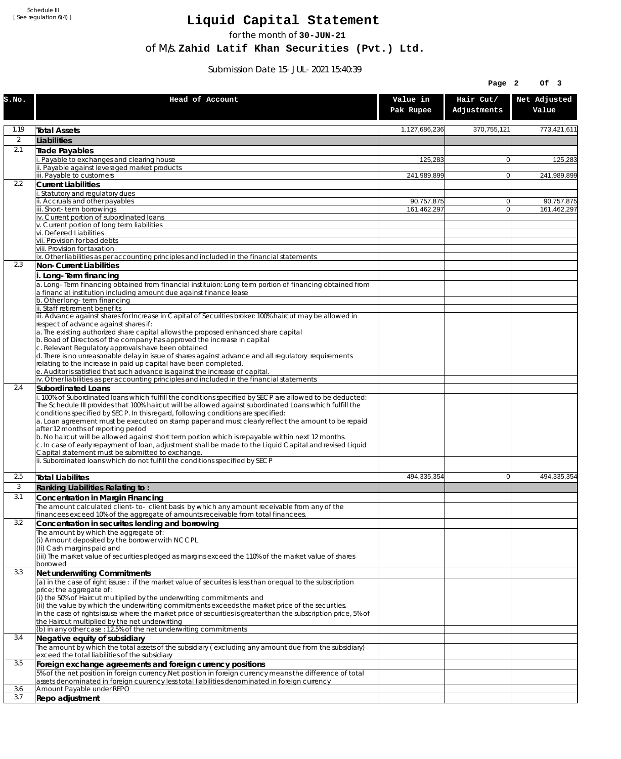Schedule III [ See regulation 6(4) ]

## **Liquid Capital Statement**

for the month of **30-JUN-21**

of M/s. **Zahid Latif Khan Securities (Pvt.) Ltd.**

Submission Date 15-JUL-2021 15:40:39

|                |                                                                                                                                                                                                                |                       | Page 2                   | Of 3                  |
|----------------|----------------------------------------------------------------------------------------------------------------------------------------------------------------------------------------------------------------|-----------------------|--------------------------|-----------------------|
| S.NO.          | Head of Account                                                                                                                                                                                                | Value in<br>Pak Rupee | Hair Cut/<br>Adjustments | Net Adjusted<br>Value |
| 1.19           | <b>Total Assets</b>                                                                                                                                                                                            | 1,127,686,236         | 370,755,121              | 773,421,611           |
| $\overline{2}$ | Liabilities                                                                                                                                                                                                    |                       |                          |                       |
| 2.1            | Trade Payables                                                                                                                                                                                                 |                       |                          |                       |
|                | Payable to exchanges and clearing house<br>Payable against leveraged market products                                                                                                                           | 125,283               | $\overline{0}$           | 125,283               |
|                | iii. Payable to customers                                                                                                                                                                                      | 241,989,899           | $\overline{0}$           | 241,989,899           |
| 2.2            | <b>Current Liabilities</b>                                                                                                                                                                                     |                       |                          |                       |
|                | Statutory and regulatory dues<br>ii. Accruals and other payables                                                                                                                                               | 90,757,875            | $\overline{0}$           | 90,757,875            |
|                | iii. Short-term borrowinas                                                                                                                                                                                     | 161,462,297           | $\overline{0}$           | 161,462,297           |
|                | iv. Current portion of subordinated loans<br>v. Current portion of long term liabilities                                                                                                                       |                       |                          |                       |
|                | vi. Deferred Liabilities                                                                                                                                                                                       |                       |                          |                       |
|                | vii. Provision for bad debts                                                                                                                                                                                   |                       |                          |                       |
|                | viii. Provision for taxation<br>ix. Other liabilities as per accounting principles and included in the financial statements                                                                                    |                       |                          |                       |
| 2.3            | Non-Current Liabilities                                                                                                                                                                                        |                       |                          |                       |
|                | i. Long-Term financing                                                                                                                                                                                         |                       |                          |                       |
|                | a. Long-Term financing obtained from financial instituion: Long term portion of financing obtained from<br>a financial institution including amount due against finance lease                                  |                       |                          |                       |
|                | b. Other long-term financing<br>ii. Staff retirement benefits                                                                                                                                                  |                       |                          |                       |
|                | iii. Advance against shares for Increase in Capital of Securities broker: 100% haircut may be allowed in                                                                                                       |                       |                          |                       |
|                | respect of advance against shares if:<br>a. The existing authorized share capital allows the proposed enhanced share capital                                                                                   |                       |                          |                       |
|                | b. Boad of Directors of the company has approved the increase in capital                                                                                                                                       |                       |                          |                       |
|                | c. Relevant Regulatory approvals have been obtained                                                                                                                                                            |                       |                          |                       |
|                | d. There is no unreasonable delay in issue of shares against advance and all regulatory requirements<br>relating to the increase in paid up capital have been completed.                                       |                       |                          |                       |
|                | e. Auditor is satisfied that such advance is against the increase of capital.                                                                                                                                  |                       |                          |                       |
| 2.4            | iv. Other liabilities as per accounting principles and included in the financial statements<br>Subordinated Loans                                                                                              |                       |                          |                       |
|                | . 100% of Subordinated loans which fulfill the conditions specified by SECP are allowed to be deducted:                                                                                                        |                       |                          |                       |
|                | The Schedule III provides that 100% haircut will be allowed against subordinated Loans which fulfill the                                                                                                       |                       |                          |                       |
|                | conditions specified by SECP. In this regard, following conditions are specified:<br>a. Loan agreement must be executed on stamp paper and must clearly reflect the amount to be repaid                        |                       |                          |                       |
|                | after 12 months of reporting period                                                                                                                                                                            |                       |                          |                       |
|                | b. No haircut will be allowed against short term portion which is repayable within next 12 months.<br>c. In case of early repayment of loan, adjustment shall be made to the Liquid Capital and revised Liquid |                       |                          |                       |
|                | Capital statement must be submitted to exchange.<br>ii. Subordinated loans which do not fulfill the conditions specified by SECP                                                                               |                       |                          |                       |
| 2.5            | <b>Total Liabilites</b>                                                                                                                                                                                        | 494.335.354           | $\overline{0}$           | 494,335,354           |
| 3              | Ranking Liabilities Relating to:                                                                                                                                                                               |                       |                          |                       |
| 3.1            | Concentration in Margin Financing                                                                                                                                                                              |                       |                          |                       |
|                | The amount calculated client-to- client basis by which any amount receivable from any of the<br>financees exceed 10% of the aggregate of amounts receivable from total financees.                              |                       |                          |                       |
| 3.2            | Concentration in securites lending and borrowing                                                                                                                                                               |                       |                          |                       |
|                | The amount by which the aggregate of:                                                                                                                                                                          |                       |                          |                       |
|                | (i) Amount deposited by the borrower with NCCPL<br>(Ii) Cash margins paid and                                                                                                                                  |                       |                          |                       |
|                | (iii) The market value of securities pledged as margins exceed the 110% of the market value of shares                                                                                                          |                       |                          |                       |
|                | borrowed                                                                                                                                                                                                       |                       |                          |                       |
| 3.3            | Net underwriting Commitments<br>(a) in the case of right issuse : if the market value of securites is less than or equal to the subscription                                                                   |                       |                          |                       |
|                | price; the aggregate of:                                                                                                                                                                                       |                       |                          |                       |
| 3.4            | (i) the 50% of Haircut multiplied by the underwriting commitments and<br>(ii) the value by which the underwriting commitments exceeds the market price of the securities.                                      |                       |                          |                       |
|                | In the case of rights issuse where the market price of securities is greater than the subscription price, 5% of                                                                                                |                       |                          |                       |
|                | the Haircut multiplied by the net underwriting                                                                                                                                                                 |                       |                          |                       |
|                | (b) in any other case: 12.5% of the net underwriting commitments<br>Negative equity of subsidiary                                                                                                              |                       |                          |                       |
|                | The amount by which the total assets of the subsidiary (excluding any amount due from the subsidiary)                                                                                                          |                       |                          |                       |
|                | exceed the total liabilities of the subsidiary                                                                                                                                                                 |                       |                          |                       |
| 3.5            | Foreign exchange agreements and foreign currency positions<br>5% of the net position in foreign currency. Net position in foreign currency means the difference of total                                       |                       |                          |                       |
|                | assets denominated in foreign cuurency less total liabilities denominated in foreign currency                                                                                                                  |                       |                          |                       |
| 3.6            | Amount Payable under REPO                                                                                                                                                                                      |                       |                          |                       |
| 3.7            | Repo adjustment                                                                                                                                                                                                |                       |                          |                       |